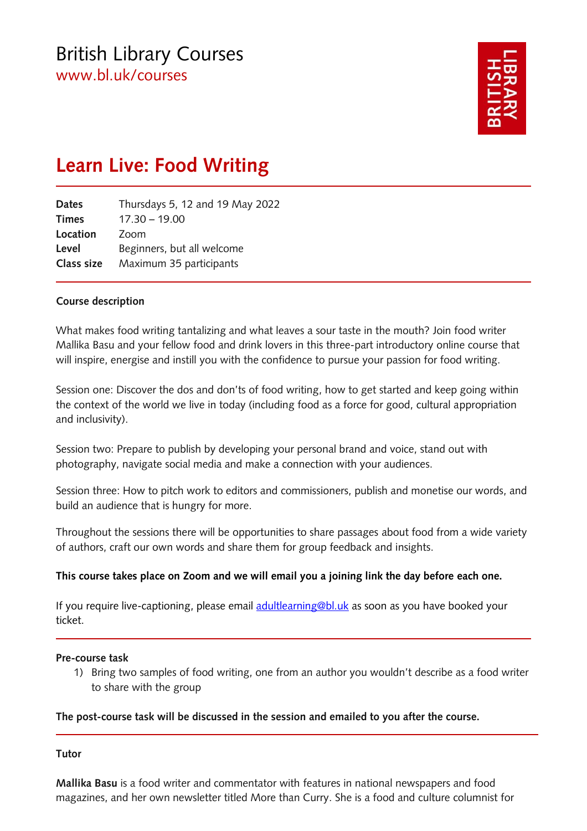

# **Learn Live: Food Writing**

| Thursdays 5, 12 and 19 May 2022 |
|---------------------------------|
| $17.30 - 19.00$                 |
| Zoom                            |
| Beginners, but all welcome      |
| Maximum 35 participants         |
|                                 |

#### **Course description**

What makes food writing tantalizing and what leaves a sour taste in the mouth? Join food writer Mallika Basu and your fellow food and drink lovers in this three-part introductory online course that will inspire, energise and instill you with the confidence to pursue your passion for food writing.

Session one: Discover the dos and don'ts of food writing, how to get started and keep going within the context of the world we live in today (including food as a force for good, cultural appropriation and inclusivity).

Session two: Prepare to publish by developing your personal brand and voice, stand out with photography, navigate social media and make a connection with your audiences.

Session three: How to pitch work to editors and commissioners, publish and monetise our words, and build an audience that is hungry for more.

Throughout the sessions there will be opportunities to share passages about food from a wide variety of authors, craft our own words and share them for group feedback and insights.

#### **This course takes place on Zoom and we will email you a joining link the day before each one.**

If you require live-captioning, please email [adultlearning@bl.uk](mailto:adultlearning@bl.uk) as soon as you have booked your ticket.

#### **Pre-course task**

1) Bring two samples of food writing, one from an author you wouldn't describe as a food writer to share with the group

#### **The post-course task will be discussed in the session and emailed to you after the course.**

#### **Tutor**

**Mallika Basu** is a food writer and commentator with features in national newspapers and food magazines, and her own newsletter titled More than Curry. She is a food and culture columnist for